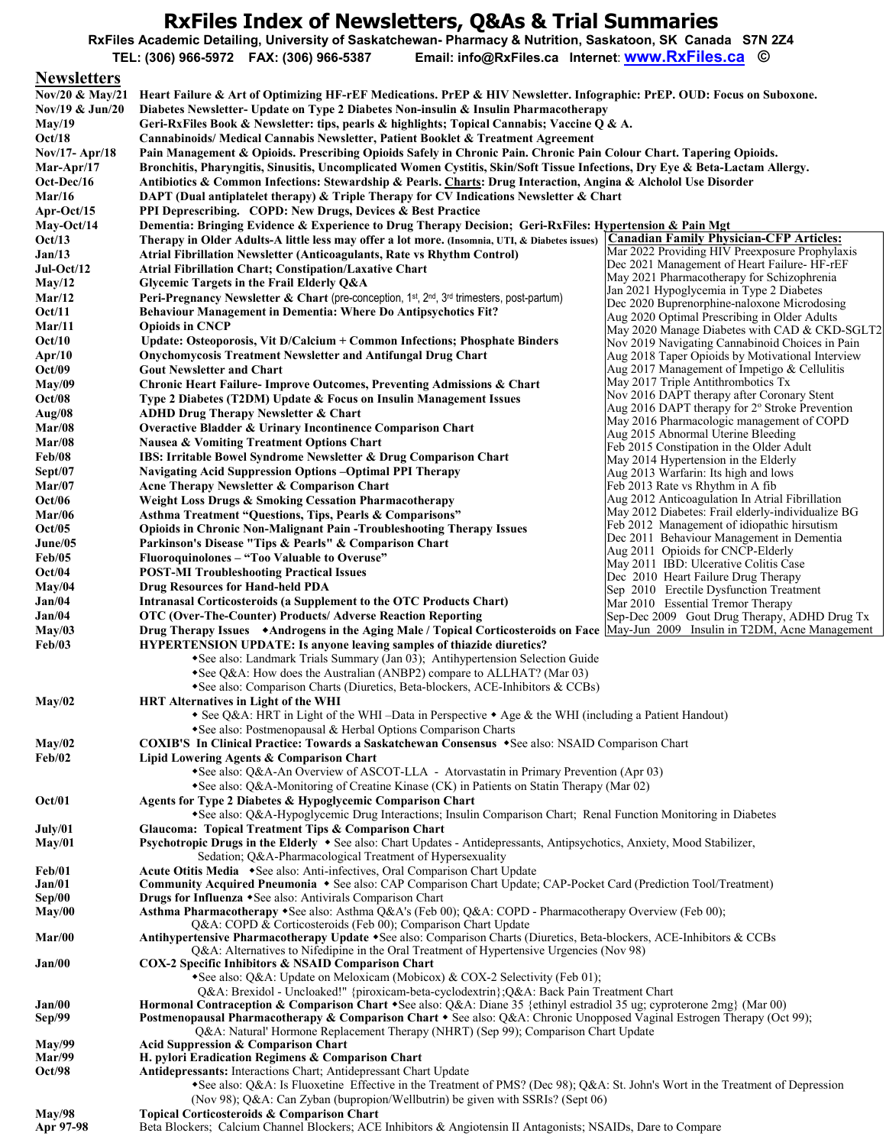## **RxFiles Index of Newsletters, Q&As & Trial Summaries**

**RxFiles Academic Detailing, University of Saskatchewan- Pharmacy & Nutrition, Saskatoon, SK Canada S7N 2Z4** 

**TEL: (306) 966-5972 FAX: (306) 966-5387 Email: info@RxFiles.ca Internet**: **[www.RxFiles.ca](http://www.rxfiles.ca/) ©**

## **Newsletters**

| 1.01131000010<br>Nov/20 & May/21 | Heart Failure & Art of Optimizing HF-rEF Medications. PrEP & HIV Newsletter. Infographic: PrEP. OUD: Focus on Suboxone.                                                                                              |                                                                                             |  |
|----------------------------------|----------------------------------------------------------------------------------------------------------------------------------------------------------------------------------------------------------------------|---------------------------------------------------------------------------------------------|--|
| Nov/19 $&$ Jun/20                | Diabetes Newsletter- Update on Type 2 Diabetes Non-insulin & Insulin Pharmacotherapy                                                                                                                                 |                                                                                             |  |
| May/19                           | Geri-RxFiles Book & Newsletter: tips, pearls & highlights; Topical Cannabis; Vaccine Q & A.                                                                                                                          |                                                                                             |  |
| Oct/18                           | <b>Cannabinoids/Medical Cannabis Newsletter, Patient Booklet &amp; Treatment Agreement</b>                                                                                                                           |                                                                                             |  |
| Nov/17- Apr/18                   | Pain Management & Opioids. Prescribing Opioids Safely in Chronic Pain. Chronic Pain Colour Chart. Tapering Opioids.                                                                                                  |                                                                                             |  |
| Mar-Apr/17                       | Bronchitis, Pharyngitis, Sinusitis, Uncomplicated Women Cystitis, Skin/Soft Tissue Infections, Dry Eye & Beta-Lactam Allergy.                                                                                        |                                                                                             |  |
| Oct-Dec/16                       | Antibiotics & Common Infections: Stewardship & Pearls. Charts: Drug Interaction, Angina & Alcholol Use Disorder                                                                                                      |                                                                                             |  |
| Mar/16                           | DAPT (Dual antiplatelet therapy) & Triple Therapy for CV Indications Newsletter & Chart                                                                                                                              |                                                                                             |  |
| Apr-Oct/15                       | <b>PPI Deprescribing. COPD: New Drugs, Devices &amp; Best Practice</b>                                                                                                                                               |                                                                                             |  |
| May-Oct/14                       | Dementia: Bringing Evidence & Experience to Drug Therapy Decision; Geri-RxFiles: Hypertension & Pain Mgt<br>Therapy in Older Adults-A little less may offer a lot more. (Insomnia, UTI, & Diabetes issues)           | <b>Canadian Family Physician-CFP Articles:</b>                                              |  |
| Oct/13<br>Jan/13                 | Atrial Fibrillation Newsletter (Anticoagulants, Rate vs Rhythm Control)                                                                                                                                              | Mar 2022 Providing HIV Preexposure Prophylaxis                                              |  |
| $Jul-Oct/12$                     | <b>Atrial Fibrillation Chart; Constipation/Laxative Chart</b>                                                                                                                                                        | Dec 2021 Management of Heart Failure-HF-rEF                                                 |  |
| May/12                           | Glycemic Targets in the Frail Elderly Q&A                                                                                                                                                                            | May 2021 Pharmacotherapy for Schizophrenia                                                  |  |
| Mar/12                           | <b>Peri-Pregnancy Newsletter &amp; Chart (pre-conception, 1st, 2nd, 3rd trimesters, post-partum)</b>                                                                                                                 | Jan 2021 Hypoglycemia in Type 2 Diabetes                                                    |  |
| Oct/11                           | <b>Behaviour Management in Dementia: Where Do Antipsychotics Fit?</b>                                                                                                                                                | Dec 2020 Buprenorphine-naloxone Microdosing<br>Aug 2020 Optimal Prescribing in Older Adults |  |
| Mar/11                           | <b>Opioids in CNCP</b>                                                                                                                                                                                               | May 2020 Manage Diabetes with CAD & CKD-SGLT2                                               |  |
| Oct/10                           | Update: Osteoporosis, Vit D/Calcium + Common Infections; Phosphate Binders                                                                                                                                           | Nov 2019 Navigating Cannabinoid Choices in Pain                                             |  |
| Apr/10                           | <b>Onychomycosis Treatment Newsletter and Antifungal Drug Chart</b>                                                                                                                                                  | Aug 2018 Taper Opioids by Motivational Interview                                            |  |
| Oct/09                           | <b>Gout Newsletter and Chart</b>                                                                                                                                                                                     | Aug 2017 Management of Impetigo & Cellulitis                                                |  |
| May/09                           | <b>Chronic Heart Failure-Improve Outcomes, Preventing Admissions &amp; Chart</b>                                                                                                                                     | May 2017 Triple Antithrombotics Tx<br>Nov 2016 DAPT therapy after Coronary Stent            |  |
| Oct/08                           | Type 2 Diabetes (T2DM) Update & Focus on Insulin Management Issues                                                                                                                                                   | Aug 2016 DAPT therapy for $2^{\circ}$ Stroke Prevention                                     |  |
| Aug/08                           | ADHD Drug Therapy Newsletter & Chart                                                                                                                                                                                 | May 2016 Pharmacologic management of COPD                                                   |  |
| Mar/08                           | <b>Overactive Bladder &amp; Urinary Incontinence Comparison Chart</b>                                                                                                                                                | Aug 2015 Abnormal Uterine Bleeding                                                          |  |
| Mar/08<br><b>Feb/08</b>          | <b>Nausea &amp; Vomiting Treatment Options Chart</b><br><b>IBS: Irritable Bowel Syndrome Newsletter &amp; Drug Comparison Chart</b>                                                                                  | Feb 2015 Constipation in the Older Adult                                                    |  |
| Sept/07                          | <b>Navigating Acid Suppression Options - Optimal PPI Therapy</b>                                                                                                                                                     | May 2014 Hypertension in the Elderly                                                        |  |
| Mar/07                           | Acne Therapy Newsletter & Comparison Chart                                                                                                                                                                           | Aug 2013 Warfarin: Its high and lows<br>Feb 2013 Rate vs Rhythm in A fib                    |  |
| <b>Oct/06</b>                    | <b>Weight Loss Drugs &amp; Smoking Cessation Pharmacotherapy</b>                                                                                                                                                     | Aug 2012 Anticoagulation In Atrial Fibrillation                                             |  |
| <b>Mar/06</b>                    | <b>Asthma Treatment "Questions, Tips, Pearls &amp; Comparisons"</b>                                                                                                                                                  | May 2012 Diabetes: Frail elderly-individualize BG                                           |  |
| Oct/05                           | <b>Opioids in Chronic Non-Malignant Pain -Troubleshooting Therapy Issues</b>                                                                                                                                         | Feb 2012 Management of idiopathic hirsutism                                                 |  |
| June/05                          | Parkinson's Disease "Tips & Pearls" & Comparison Chart                                                                                                                                                               | Dec 2011 Behaviour Management in Dementia<br>Aug 2011 Opioids for CNCP-Elderly              |  |
| <b>Feb/05</b>                    | Fluoroquinolones – "Too Valuable to Overuse"                                                                                                                                                                         | May 2011 IBD: Ulcerative Colitis Case                                                       |  |
| Oct/04                           | <b>POST-MI Troubleshooting Practical Issues</b>                                                                                                                                                                      | Dec 2010 Heart Failure Drug Therapy                                                         |  |
| May/04                           | <b>Drug Resources for Hand-held PDA</b>                                                                                                                                                                              | Sep 2010 Erectile Dysfunction Treatment                                                     |  |
| Jan/04                           | Intranasal Corticosteroids (a Supplement to the OTC Products Chart)                                                                                                                                                  | Mar 2010 Essential Tremor Therapy                                                           |  |
| Jan/04                           | OTC (Over-The-Counter) Products/ Adverse Reaction Reporting                                                                                                                                                          | Sep-Dec 2009 Gout Drug Therapy, ADHD Drug Tx                                                |  |
| May/03                           | Drug Therapy Issues Androgens in the Aging Male / Topical Corticosteroids on Face May-Jun 2009 Insulin in T2DM, Acne Management                                                                                      |                                                                                             |  |
| Feb/03                           | <b>HYPERTENSION UPDATE:</b> Is anyone leaving samples of thiazide diuretics?<br>• See also: Landmark Trials Summary (Jan 03); Antihypertension Selection Guide                                                       |                                                                                             |  |
|                                  | *See $Q&A$ : How does the Australian (ANBP2) compare to ALLHAT? (Mar 03)                                                                                                                                             |                                                                                             |  |
|                                  | *See also: Comparison Charts (Diuretics, Beta-blockers, ACE-Inhibitors & CCBs)                                                                                                                                       |                                                                                             |  |
| May/02                           | <b>HRT Alternatives in Light of the WHI</b>                                                                                                                                                                          |                                                                                             |  |
|                                  | • See Q&A: HRT in Light of the WHI –Data in Perspective • Age & the WHI (including a Patient Handout)                                                                                                                |                                                                                             |  |
|                                  | • See also: Postmenopausal & Herbal Options Comparison Charts                                                                                                                                                        |                                                                                             |  |
| May/02                           | <b>COXIB'S In Clinical Practice: Towards a Saskatchewan Consensus •See also: NSAID Comparison Chart</b>                                                                                                              |                                                                                             |  |
| Feb/02                           | Lipid Lowering Agents & Comparison Chart                                                                                                                                                                             |                                                                                             |  |
|                                  | • See also: Q&A-An Overview of ASCOT-LLA - Atorvastatin in Primary Prevention (Apr 03)                                                                                                                               |                                                                                             |  |
| Oct/01                           | *See also: Q&A-Monitoring of Creatine Kinase (CK) in Patients on Statin Therapy (Mar 02)<br>Agents for Type 2 Diabetes & Hypoglycemic Comparison Chart                                                               |                                                                                             |  |
|                                  | *See also: Q&A-Hypoglycemic Drug Interactions; Insulin Comparison Chart; Renal Function Monitoring in Diabetes                                                                                                       |                                                                                             |  |
| July/01                          | Glaucoma: Topical Treatment Tips & Comparison Chart                                                                                                                                                                  |                                                                                             |  |
| May/01                           | Psychotropic Drugs in the Elderly • See also: Chart Updates - Antidepressants, Antipsychotics, Anxiety, Mood Stabilizer,                                                                                             |                                                                                             |  |
|                                  | Sedation; Q&A-Pharmacological Treatment of Hypersexuality                                                                                                                                                            |                                                                                             |  |
| Feb/01                           | Acute Otitis Media • See also: Anti-infectives, Oral Comparison Chart Update                                                                                                                                         |                                                                                             |  |
| Jan/01                           | Community Acquired Pneumonia • See also: CAP Comparison Chart Update; CAP-Pocket Card (Prediction Tool/Treatment)                                                                                                    |                                                                                             |  |
| Sep/00                           | Drugs for Influenza • See also: Antivirals Comparison Chart<br>Asthma Pharmacotherapy +See also: Asthma Q&A's (Feb 00); Q&A: COPD - Pharmacotherapy Overview (Feb 00);                                               |                                                                                             |  |
| May/00                           | Q&A: COPD & Corticosteroids (Feb 00); Comparison Chart Update                                                                                                                                                        |                                                                                             |  |
| Mar/00                           | Antihypertensive Pharmacotherapy Update +See also: Comparison Charts (Diuretics, Beta-blockers, ACE-Inhibitors & CCBs                                                                                                |                                                                                             |  |
|                                  | Q&A: Alternatives to Nifedipine in the Oral Treatment of Hypertensive Urgencies (Nov 98)                                                                                                                             |                                                                                             |  |
| Jan/00                           | <b>COX-2 Specific Inhibitors &amp; NSAID Comparison Chart</b>                                                                                                                                                        |                                                                                             |  |
|                                  | • See also: Q&A: Update on Meloxicam (Mobicox) & COX-2 Selectivity (Feb 01);                                                                                                                                         |                                                                                             |  |
|                                  | Q&A: Brexidol - Uncloaked!" {piroxicam-beta-cyclodextrin}; Q&A: Back Pain Treatment Chart<br>Hormonal Contraception & Comparison Chart + See also: Q&A: Diane 35 {ethinyl estradiol 35 ug; cyproterone 2mg} (Mar 00) |                                                                                             |  |
| Jan/00<br>Sep/99                 | Postmenopausal Pharmacotherapy & Comparison Chart • See also: Q&A: Chronic Unopposed Vaginal Estrogen Therapy (Oct 99);                                                                                              |                                                                                             |  |
|                                  | Q&A: Natural' Hormone Replacement Therapy (NHRT) (Sep 99); Comparison Chart Update                                                                                                                                   |                                                                                             |  |
| May/99                           | Acid Suppression & Comparison Chart                                                                                                                                                                                  |                                                                                             |  |
| <b>Mar/99</b>                    | H. pylori Eradication Regimens & Comparison Chart                                                                                                                                                                    |                                                                                             |  |
| Oct/98                           | Antidepressants: Interactions Chart; Antidepressant Chart Update                                                                                                                                                     |                                                                                             |  |
|                                  | *See also: Q&A: Is Fluoxetine Effective in the Treatment of PMS? (Dec 98); Q&A: St. John's Wort in the Treatment of Depression                                                                                       |                                                                                             |  |
| May/98                           | (Nov 98); Q&A: Can Zyban (bupropion/Wellbutrin) be given with SSRIs? (Sept 06)<br>Topical Corticosteroids & Comparison Chart                                                                                         |                                                                                             |  |
|                                  |                                                                                                                                                                                                                      |                                                                                             |  |

**Apr 97-98** Beta Blockers; Calcium Channel Blockers; ACE Inhibitors & Angiotensin II Antagonists; NSAIDs, Dare to Compare